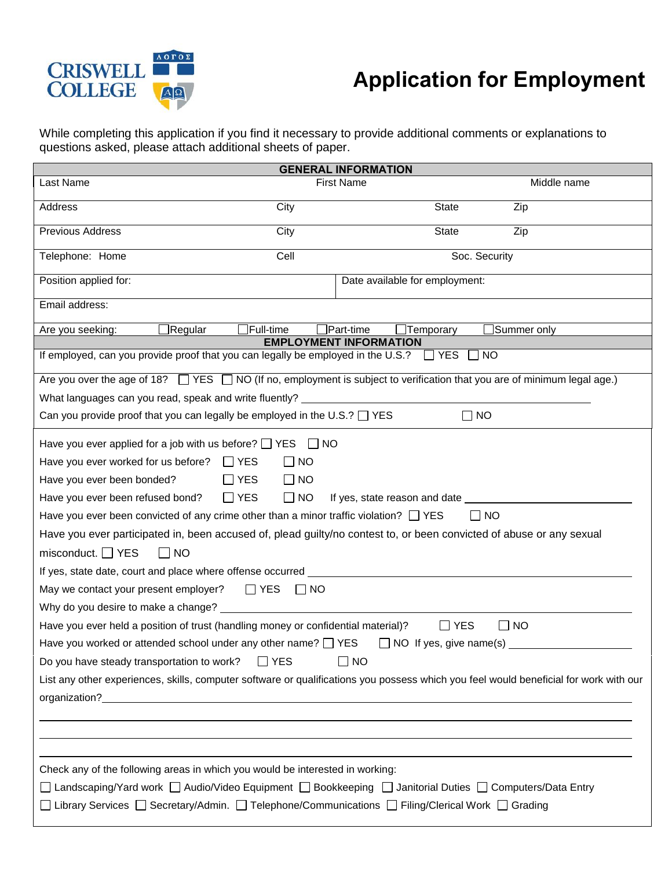

## **Application for Employment**

While completing this application if you find it necessary to provide additional comments or explanations to questions asked, please attach additional sheets of paper.

|                                                                                                                                       |                      | <b>GENERAL INFORMATION</b>          |                       |  |  |  |  |
|---------------------------------------------------------------------------------------------------------------------------------------|----------------------|-------------------------------------|-----------------------|--|--|--|--|
| Last Name                                                                                                                             |                      | <b>First Name</b>                   | Middle name           |  |  |  |  |
| Address                                                                                                                               | City                 | <b>State</b>                        | Zip                   |  |  |  |  |
| <b>Previous Address</b>                                                                                                               | City                 | <b>State</b>                        | Zip                   |  |  |  |  |
| Telephone: Home                                                                                                                       | Cell                 |                                     | Soc. Security         |  |  |  |  |
| Position applied for:                                                                                                                 |                      | Date available for employment:      |                       |  |  |  |  |
| Email address:                                                                                                                        |                      |                                     |                       |  |  |  |  |
| $\Box$ Regular<br>Are you seeking:                                                                                                    | $\exists$ Full-time  | $\exists$ Part-time<br>Temporary    | $\exists$ Summer only |  |  |  |  |
|                                                                                                                                       |                      | <b>EMPLOYMENT INFORMATION</b>       |                       |  |  |  |  |
| If employed, can you provide proof that you can legally be employed in the U.S.?                                                      |                      | $\Box$ YES                          | $\Box$ NO             |  |  |  |  |
| Are you over the age of 18? $\Box$ YES $\Box$ NO (If no, employment is subject to verification that you are of minimum legal age.)    |                      |                                     |                       |  |  |  |  |
| What languages can you read, speak and write fluently? _________________________                                                      |                      |                                     |                       |  |  |  |  |
| Can you provide proof that you can legally be employed in the U.S.? $\Box$ YES<br>$\square$ NO                                        |                      |                                     |                       |  |  |  |  |
| Have you ever applied for a job with us before? $\Box$ YES                                                                            | $\Box$ NO            |                                     |                       |  |  |  |  |
| Have you ever worked for us before? $\Box$ YES<br>$\Box$ NO                                                                           |                      |                                     |                       |  |  |  |  |
| Have you ever been bonded?<br>$\Box$ YES                                                                                              | $\Box$ NO            |                                     |                       |  |  |  |  |
| Have you ever been refused bond?<br>$\Box$ YES                                                                                        | $\Box$ NO            | If yes, state reason and date _____ |                       |  |  |  |  |
| Have you ever been convicted of any crime other than a minor traffic violation? $\Box$ YES                                            |                      |                                     | $\Box$ NO             |  |  |  |  |
| Have you ever participated in, been accused of, plead guilty/no contest to, or been convicted of abuse or any sexual                  |                      |                                     |                       |  |  |  |  |
| misconduct. $\Box$ YES<br>  NO                                                                                                        |                      |                                     |                       |  |  |  |  |
| If yes, state date, court and place where offense occurred _____________________                                                      |                      |                                     |                       |  |  |  |  |
| May we contact your present employer? $\Box$ YES                                                                                      | $\Box$ NO            |                                     |                       |  |  |  |  |
| Why do you desire to make a change?                                                                                                   |                      |                                     |                       |  |  |  |  |
| Have you ever held a position of trust (handling money or confidential material)?                                                     |                      | $\Box$ YES                          | $\Box$ NO             |  |  |  |  |
| Have you worked or attended school under any other name? $\Box$ YES                                                                   |                      | $\Box$ NO If yes, give name(s) _    |                       |  |  |  |  |
| Do you have steady transportation to work?                                                                                            | <b>YES</b><br>$\Box$ | <b>NO</b>                           |                       |  |  |  |  |
| List any other experiences, skills, computer software or qualifications you possess which you feel would beneficial for work with our |                      |                                     |                       |  |  |  |  |
|                                                                                                                                       |                      |                                     |                       |  |  |  |  |
|                                                                                                                                       |                      |                                     |                       |  |  |  |  |
|                                                                                                                                       |                      |                                     |                       |  |  |  |  |
|                                                                                                                                       |                      |                                     |                       |  |  |  |  |
| Check any of the following areas in which you would be interested in working:                                                         |                      |                                     |                       |  |  |  |  |
| Landscaping/Yard work □ Audio/Video Equipment □ Bookkeeping □ Janitorial Duties □ Computers/Data Entry                                |                      |                                     |                       |  |  |  |  |
| Library Services<br>□ Telephone/Communications<br>□ Filing/Clerical Work  □ Grading                                                   |                      |                                     |                       |  |  |  |  |
|                                                                                                                                       |                      |                                     |                       |  |  |  |  |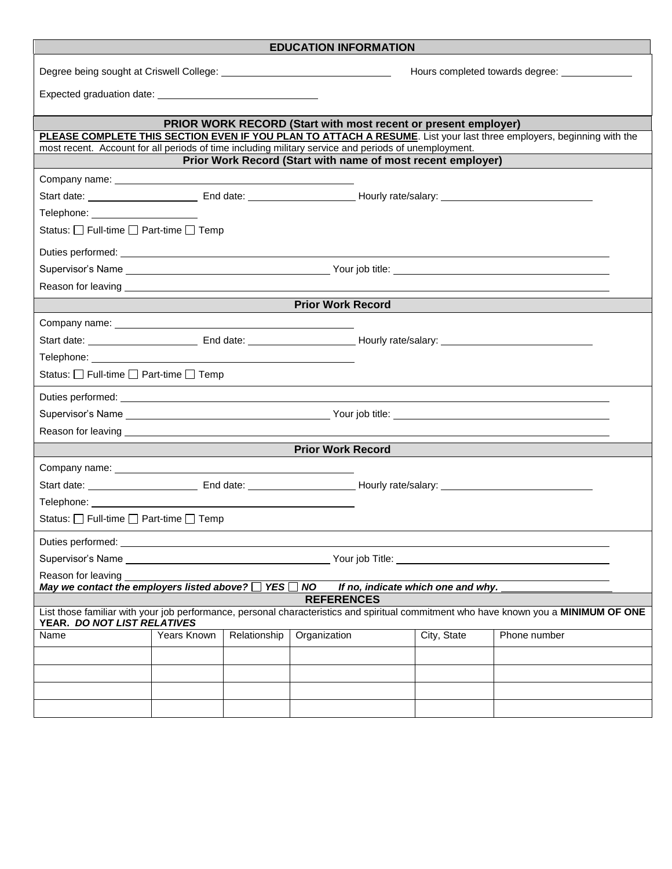| <b>EDUCATION INFORMATION</b>                                                                                                                                        |                                                |              |              |                                    |                                                                                                                      |  |  |  |
|---------------------------------------------------------------------------------------------------------------------------------------------------------------------|------------------------------------------------|--------------|--------------|------------------------------------|----------------------------------------------------------------------------------------------------------------------|--|--|--|
|                                                                                                                                                                     | Hours completed towards degree: ______________ |              |              |                                    |                                                                                                                      |  |  |  |
|                                                                                                                                                                     |                                                |              |              |                                    |                                                                                                                      |  |  |  |
| <b>PRIOR WORK RECORD (Start with most recent or present employer)</b>                                                                                               |                                                |              |              |                                    |                                                                                                                      |  |  |  |
|                                                                                                                                                                     |                                                |              |              |                                    | PLEASE COMPLETE THIS SECTION EVEN IF YOU PLAN TO ATTACH A RESUME. List your last three employers, beginning with the |  |  |  |
| most recent. Account for all periods of time including military service and periods of unemployment.<br>Prior Work Record (Start with name of most recent employer) |                                                |              |              |                                    |                                                                                                                      |  |  |  |
|                                                                                                                                                                     |                                                |              |              |                                    |                                                                                                                      |  |  |  |
|                                                                                                                                                                     |                                                |              |              |                                    |                                                                                                                      |  |  |  |
|                                                                                                                                                                     |                                                |              |              |                                    |                                                                                                                      |  |  |  |
| Telephone: ______________________                                                                                                                                   |                                                |              |              |                                    |                                                                                                                      |  |  |  |
| Status: □ Full-time □ Part-time □ Temp                                                                                                                              |                                                |              |              |                                    |                                                                                                                      |  |  |  |
|                                                                                                                                                                     |                                                |              |              |                                    |                                                                                                                      |  |  |  |
|                                                                                                                                                                     |                                                |              |              |                                    |                                                                                                                      |  |  |  |
|                                                                                                                                                                     |                                                |              |              |                                    |                                                                                                                      |  |  |  |
| <b>Prior Work Record</b>                                                                                                                                            |                                                |              |              |                                    |                                                                                                                      |  |  |  |
|                                                                                                                                                                     |                                                |              |              |                                    |                                                                                                                      |  |  |  |
|                                                                                                                                                                     |                                                |              |              |                                    |                                                                                                                      |  |  |  |
|                                                                                                                                                                     |                                                |              |              |                                    |                                                                                                                      |  |  |  |
| Status: □ Full-time □ Part-time □ Temp                                                                                                                              |                                                |              |              |                                    |                                                                                                                      |  |  |  |
|                                                                                                                                                                     |                                                |              |              |                                    |                                                                                                                      |  |  |  |
|                                                                                                                                                                     |                                                |              |              |                                    |                                                                                                                      |  |  |  |
|                                                                                                                                                                     |                                                |              |              |                                    |                                                                                                                      |  |  |  |
| <b>Prior Work Record</b>                                                                                                                                            |                                                |              |              |                                    |                                                                                                                      |  |  |  |
|                                                                                                                                                                     |                                                |              |              |                                    |                                                                                                                      |  |  |  |
|                                                                                                                                                                     |                                                |              |              |                                    |                                                                                                                      |  |  |  |
|                                                                                                                                                                     |                                                |              |              |                                    |                                                                                                                      |  |  |  |
| Status: $\Box$ Full-time $\Box$ Part-time $\Box$ Temp                                                                                                               |                                                |              |              |                                    |                                                                                                                      |  |  |  |
|                                                                                                                                                                     |                                                |              |              |                                    |                                                                                                                      |  |  |  |
| Duties performed:                                                                                                                                                   |                                                |              |              |                                    |                                                                                                                      |  |  |  |
| Supervisor's Name<br>Your job Title: _______________                                                                                                                |                                                |              |              |                                    |                                                                                                                      |  |  |  |
| Reason for leaving<br>May we contact the employers listed above? $\Box$ YES $\Box$ NO                                                                               |                                                |              |              | If no, indicate which one and why. |                                                                                                                      |  |  |  |
| <b>REFERENCES</b>                                                                                                                                                   |                                                |              |              |                                    |                                                                                                                      |  |  |  |
| List those familiar with your job performance, personal characteristics and spiritual commitment who have known you a MINIMUM OF ONE<br>YEAR. DO NOT LIST RELATIVES |                                                |              |              |                                    |                                                                                                                      |  |  |  |
| Name                                                                                                                                                                | Years Known                                    | Relationship | Organization | City, State                        | Phone number                                                                                                         |  |  |  |
|                                                                                                                                                                     |                                                |              |              |                                    |                                                                                                                      |  |  |  |
|                                                                                                                                                                     |                                                |              |              |                                    |                                                                                                                      |  |  |  |
|                                                                                                                                                                     |                                                |              |              |                                    |                                                                                                                      |  |  |  |
|                                                                                                                                                                     |                                                |              |              |                                    |                                                                                                                      |  |  |  |
|                                                                                                                                                                     |                                                |              |              |                                    |                                                                                                                      |  |  |  |